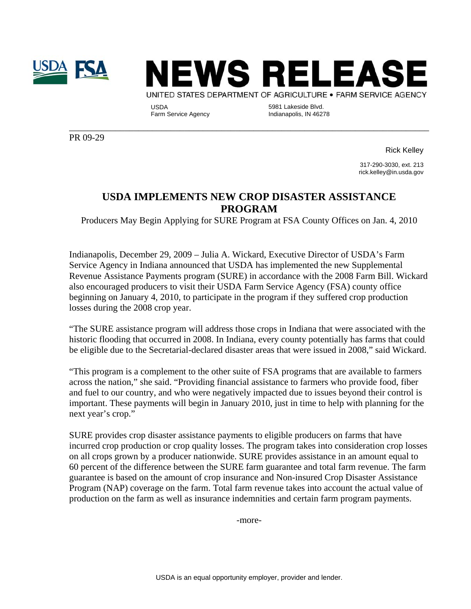



USDA<br>Farm Service Agency

5981 Lakeside Blvd. Indianapolis, IN 46278

PR 09-29

Rick Kelley

317-290-3030, ext. 213 rick.kelley@in.usda.gov

## **USDA IMPLEMENTS NEW CROP DISASTER ASSISTANCE PROGRAM**

\_\_\_\_\_\_\_\_\_\_\_\_\_\_\_\_\_\_\_\_\_\_\_\_\_\_\_\_\_\_\_\_\_\_\_\_\_\_\_\_\_\_\_\_\_\_\_\_\_\_\_\_\_\_\_\_\_\_\_\_\_\_\_\_\_\_\_\_\_\_\_\_\_\_\_\_\_\_

Producers May Begin Applying for SURE Program at FSA County Offices on Jan. 4, 2010

Indianapolis, December 29, 2009 – Julia A. Wickard, Executive Director of USDA's Farm Service Agency in Indiana announced that USDA has implemented the new Supplemental Revenue Assistance Payments program (SURE) in accordance with the 2008 Farm Bill. Wickard also encouraged producers to visit their USDA Farm Service Agency (FSA) county office beginning on January 4, 2010, to participate in the program if they suffered crop production losses during the 2008 crop year.

"The SURE assistance program will address those crops in Indiana that were associated with the historic flooding that occurred in 2008. In Indiana, every county potentially has farms that could be eligible due to the Secretarial-declared disaster areas that were issued in 2008," said Wickard.

"This program is a complement to the other suite of FSA programs that are available to farmers across the nation," she said. "Providing financial assistance to farmers who provide food, fiber and fuel to our country, and who were negatively impacted due to issues beyond their control is important. These payments will begin in January 2010, just in time to help with planning for the next year's crop."

SURE provides crop disaster assistance payments to eligible producers on farms that have incurred crop production or crop quality losses. The program takes into consideration crop losses on all crops grown by a producer nationwide. SURE provides assistance in an amount equal to 60 percent of the difference between the SURE farm guarantee and total farm revenue. The farm guarantee is based on the amount of crop insurance and Non-insured Crop Disaster Assistance Program (NAP) coverage on the farm. Total farm revenue takes into account the actual value of production on the farm as well as insurance indemnities and certain farm program payments.

-more-